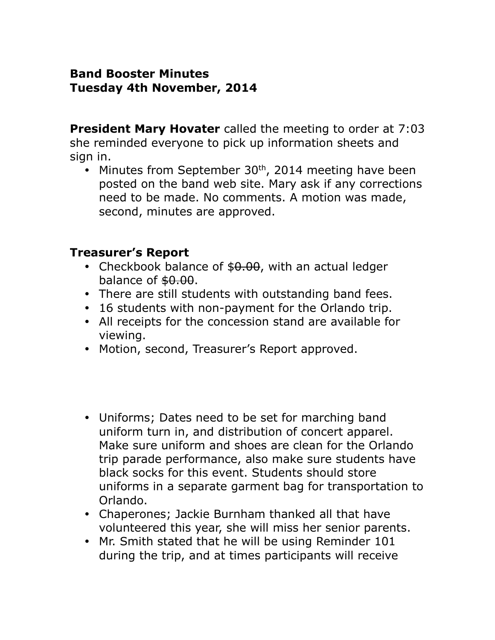### **Band Booster Minutes Tuesday 4th November, 2014**

**President Mary Hovater** called the meeting to order at 7:03 she reminded everyone to pick up information sheets and sign in.

 $\bullet$  Minutes from September 30<sup>th</sup>, 2014 meeting have been posted on the band web site. Mary ask if any corrections need to be made. No comments. A motion was made, second, minutes are approved.

### **Treasurer's Report**

- Checkbook balance of \$0.00, with an actual ledger balance of  $$0.00$ .
- There are still students with outstanding band fees.
- 16 students with non-payment for the Orlando trip.
- All receipts for the concession stand are available for viewing.
- Motion, second, Treasurer's Report approved.
- Uniforms; Dates need to be set for marching band uniform turn in, and distribution of concert apparel. Make sure uniform and shoes are clean for the Orlando trip parade performance, also make sure students have black socks for this event. Students should store uniforms in a separate garment bag for transportation to Orlando.
- Chaperones; Jackie Burnham thanked all that have volunteered this year, she will miss her senior parents.
- Mr. Smith stated that he will be using Reminder 101 during the trip, and at times participants will receive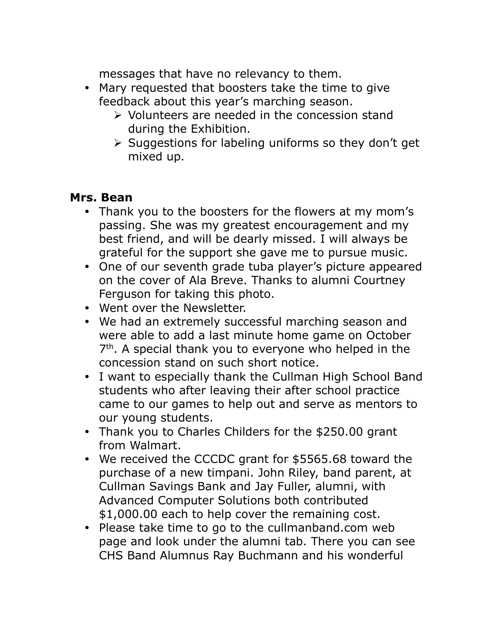messages that have no relevancy to them.

- Mary requested that boosters take the time to give feedback about this year's marching season.
	- $\triangleright$  Volunteers are needed in the concession stand during the Exhibition.
	- $\triangleright$  Suggestions for labeling uniforms so they don't get mixed up.

### **Mrs. Bean**

- Thank you to the boosters for the flowers at my mom's passing. She was my greatest encouragement and my best friend, and will be dearly missed. I will always be grateful for the support she gave me to pursue music.
- One of our seventh grade tuba player's picture appeared on the cover of Ala Breve. Thanks to alumni Courtney Ferguson for taking this photo.
- Went over the Newsletter.
- We had an extremely successful marching season and were able to add a last minute home game on October 7<sup>th</sup>. A special thank you to everyone who helped in the concession stand on such short notice.
- I want to especially thank the Cullman High School Band students who after leaving their after school practice came to our games to help out and serve as mentors to our young students.
- Thank you to Charles Childers for the \$250.00 grant from Walmart.
- We received the CCCDC grant for \$5565.68 toward the purchase of a new timpani. John Riley, band parent, at Cullman Savings Bank and Jay Fuller, alumni, with Advanced Computer Solutions both contributed \$1,000.00 each to help cover the remaining cost.
- Please take time to go to the cullmanband.com web page and look under the alumni tab. There you can see CHS Band Alumnus Ray Buchmann and his wonderful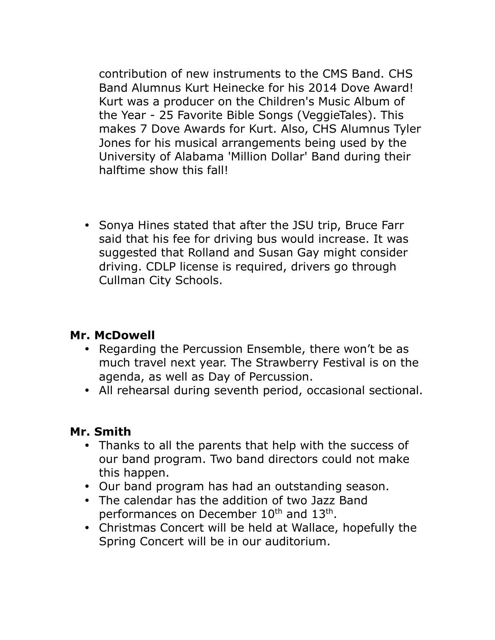contribution of new instruments to the CMS Band. CHS Band Alumnus Kurt Heinecke for his 2014 Dove Award! Kurt was a producer on the Children's Music Album of the Year - 25 Favorite Bible Songs (VeggieTales). This makes 7 Dove Awards for Kurt. Also, CHS Alumnus Tyler Jones for his musical arrangements being used by the University of Alabama 'Million Dollar' Band during their halftime show this fall!

• Sonya Hines stated that after the JSU trip, Bruce Farr said that his fee for driving bus would increase. It was suggested that Rolland and Susan Gay might consider driving. CDLP license is required, drivers go through Cullman City Schools.

## **Mr. McDowell**

- Regarding the Percussion Ensemble, there won't be as much travel next year. The Strawberry Festival is on the agenda, as well as Day of Percussion.
- All rehearsal during seventh period, occasional sectional.

## **Mr. Smith**

- Thanks to all the parents that help with the success of our band program. Two band directors could not make this happen.
- Our band program has had an outstanding season.
- The calendar has the addition of two Jazz Band performances on December 10<sup>th</sup> and 13<sup>th</sup>.
- Christmas Concert will be held at Wallace, hopefully the Spring Concert will be in our auditorium.